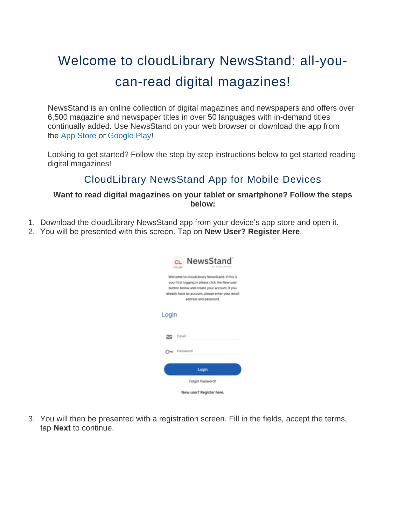# Welcome to cloudLibrary NewsStand: all-youcan-read digital magazines!

NewsStand is an online collection of digital magazines and newspapers and offers over 6,500 magazine and newspaper titles in over 50 languages with in-demand titles continually added. Use NewsStand on your web browser or download the app from the [App Store](https://apps.apple.com/ca/app/cloudlibrary-newsstand/id1544454597) or [Google Play](https://play.google.com/store/apps/details?id=com.magzter.bibliotheca)!

Looking to get started? Follow the step-by-step instructions below to get started reading digital magazines!

## CloudLibrary NewsStand App for Mobile Devices

#### **Want to read digital magazines on your tablet or smartphone? Follow the steps below:**

- 1. Download the cloudLibrary NewsStand app from your device's app store and open it.
- 2. You will be presented with this screen. Tap on **New User? Register Here**.

| CL NewsStand                                                                                                                                                                                                                  |
|-------------------------------------------------------------------------------------------------------------------------------------------------------------------------------------------------------------------------------|
| Welcome to cloudLibrary NewsStand. If this is<br>your first logging in please click the New user<br>button below and create your account. If you<br>already have an account, please enter your email<br>address and password. |
| Login                                                                                                                                                                                                                         |
| Email                                                                                                                                                                                                                         |
| Password<br>$\rightarrow$                                                                                                                                                                                                     |
| Login                                                                                                                                                                                                                         |
| Forgot Password?                                                                                                                                                                                                              |
| New user? Register here.                                                                                                                                                                                                      |

3. You will then be presented with a registration screen. Fill in the fields, accept the terms, tap **Next** to continue.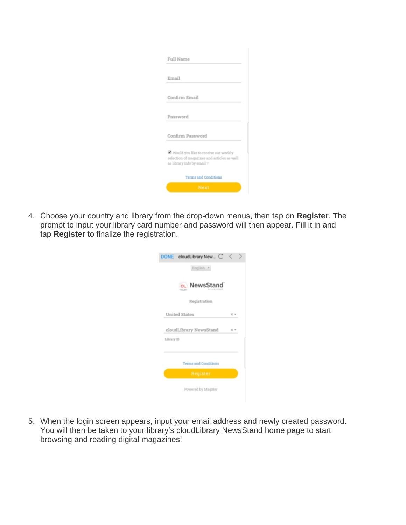| Full Name                                                                                                         |  |
|-------------------------------------------------------------------------------------------------------------------|--|
|                                                                                                                   |  |
| Email                                                                                                             |  |
| Confirm Email                                                                                                     |  |
| Password                                                                                                          |  |
| Confirm Password                                                                                                  |  |
| Would you like to receive our weekly<br>selection of magazines and articles as well<br>as library info by email ? |  |
| <b>Terms and Conditions</b>                                                                                       |  |
| Next                                                                                                              |  |

4. Choose your country and library from the drop-down menus, then tap on **Register**. The prompt to input your library card number and password will then appear. Fill it in and tap **Register** to finalize the registration.

| cloudLibrary New C<br><b>DONE</b> |            |  |
|-----------------------------------|------------|--|
| English *                         |            |  |
| cu NewsStand                      |            |  |
| Registration                      |            |  |
| <b>United States</b>              | $\times$ + |  |
| cloudLibrary NewsStand            |            |  |
| Library ID                        |            |  |
| Terms and Conditions              |            |  |
| Register                          |            |  |
| Powered by Magzter                |            |  |

5. When the login screen appears, input your email address and newly created password. You will then be taken to your library's cloudLibrary NewsStand home page to start browsing and reading digital magazines!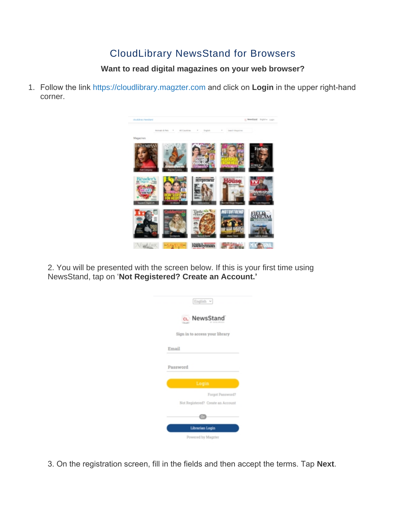## CloudLibrary NewsStand for Browsers

### **Want to read digital magazines on your web browser?**

1. Follow the link [https://cloudlibrary.magzter.com](https://cloudlibrary.magzter.com/) and click on **Login** in the upper right-hand corner.



2. You will be presented with the screen below. If this is your first time using NewsStand, tap on '**Not Registered? Create an Account.'**

|       | English $\vee$                                        |
|-------|-------------------------------------------------------|
|       | c. NewsStand                                          |
|       | Sign in to access your library                        |
| Email |                                                       |
|       | Password                                              |
|       | Login                                                 |
|       | Forgot Password?<br>Not Registered? Create an Account |
|       | 0 <sub>T</sub>                                        |
|       | Librarian Login                                       |
|       | Powered by Magzter                                    |

3. On the registration screen, fill in the fields and then accept the terms. Tap **Next**.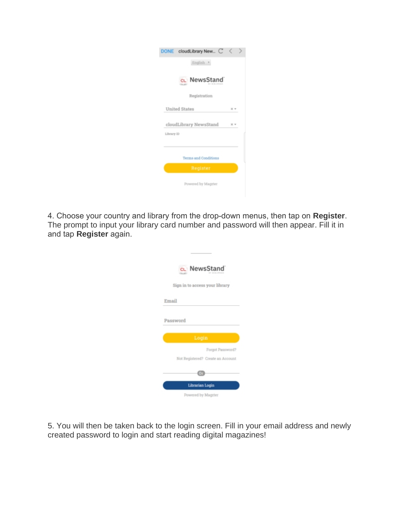| DONE cloudLibrary New C |            |  |
|-------------------------|------------|--|
| English *               |            |  |
| cu NewsStand            |            |  |
| Registration            |            |  |
| <b>United States</b>    | $\times$ + |  |
| cloudLibrary NewsStand  |            |  |
| Library ID              |            |  |
|                         |            |  |
| Terms and Conditions    |            |  |
| Register                |            |  |
| Powered by Magzter      |            |  |

4. Choose your country and library from the drop-down menus, then tap on **Register**. The prompt to input your library card number and password will then appear. Fill it in and tap **Register** again.

|          | CL NewsStand                      |
|----------|-----------------------------------|
|          | Sign in to access your library    |
| Email    |                                   |
| Password |                                   |
|          |                                   |
|          | Login                             |
|          | Forgot Password?                  |
|          | Not Registered? Create an Account |
|          | 0r                                |
|          | Librarian Login                   |

5. You will then be taken back to the login screen. Fill in your email address and newly created password to login and start reading digital magazines!